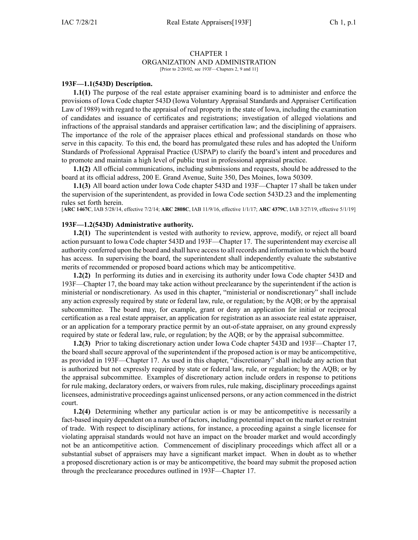#### CHAPTER 1 ORGANIZATION AND ADMINISTRATION [Prior to 2/20/02, see 193F—Chapters 2, 9 and 11]

## **193F—1.1(543D) Description.**

**1.1(1)** The purpose of the real estate appraiser examining board is to administer and enforce the provisions of Iowa Code chapter [543D](https://www.legis.iowa.gov/docs/ico/chapter/543D.pdf) (Iowa Voluntary Appraisal Standards and Appraiser Certification Law of 1989) with regard to the appraisal of real property in the state of Iowa, including the examination of candidates and issuance of certificates and registrations; investigation of alleged violations and infractions of the appraisal standards and appraiser certification law; and the disciplining of appraisers. The importance of the role of the appraiser places ethical and professional standards on those who serve in this capacity. To this end, the board has promulgated these rules and has adopted the Uniform Standards of Professional Appraisal Practice (USPAP) to clarify the board's intent and procedures and to promote and maintain <sup>a</sup> high level of public trust in professional appraisal practice.

**1.1(2)** All official communications, including submissions and requests, should be addressed to the board at its official address, 200 E. Grand Avenue, Suite 350, Des Moines, Iowa 50309.

**1.1(3)** All board action under Iowa Code chapter [543D](https://www.legis.iowa.gov/docs/ico/chapter/2016/543D.pdf) and [193F—Chapter](https://www.legis.iowa.gov/docs/iac/chapter/193F.17.pdf) 17 shall be taken under the supervision of the superintendent, as provided in Iowa Code section [543D.23](https://www.legis.iowa.gov/docs/ico/section/543D.23.pdf) and the implementing rules set forth herein.

[**ARC [1467C](https://www.legis.iowa.gov/docs/aco/arc/1467C.pdf)**, IAB 5/28/14, effective 7/2/14; **ARC [2808C](https://www.legis.iowa.gov/docs/aco/arc/2808C.pdf)**, IAB 11/9/16, effective 1/1/17; **ARC [4379C](https://www.legis.iowa.gov/docs/aco/arc/4379C.pdf)**, IAB 3/27/19, effective 5/1/19]

#### **193F—1.2(543D) Administrative authority.**

**1.2(1)** The superintendent is vested with authority to review, approve, modify, or reject all board action pursuan<sup>t</sup> to Iowa Code chapter [543D](https://www.legis.iowa.gov/docs/ico/chapter/2016/543D.pdf) and [193F—Chapter](https://www.legis.iowa.gov/docs/iac/chapter/193F.17.pdf) 17. The superintendent may exercise all authority conferred upon the board and shall have accessto all records and information to which the board has access. In supervising the board, the superintendent shall independently evaluate the substantive merits of recommended or proposed board actions which may be anticompetitive.

**1.2(2)** In performing its duties and in exercising its authority under Iowa Code chapter [543D](https://www.legis.iowa.gov/docs/ico/chapter/2016/543D.pdf) and [193F—Chapter](https://www.legis.iowa.gov/docs/iac/chapter/193F.17.pdf) 17, the board may take action without preclearance by the superintendent if the action is ministerial or nondiscretionary. As used in this chapter, "ministerial or nondiscretionary" shall include any action expressly required by state or federal law, rule, or regulation; by the AQB; or by the appraisal subcommittee. The board may, for example, gran<sup>t</sup> or deny an application for initial or reciprocal certification as <sup>a</sup> real estate appraiser, an application for registration as an associate real estate appraiser, or an application for <sup>a</sup> temporary practice permit by an out-of-state appraiser, on any ground expressly required by state or federal law, rule, or regulation; by the AQB; or by the appraisal subcommittee.

**1.2(3)** Prior to taking discretionary action under Iowa Code chapter [543D](https://www.legis.iowa.gov/docs/ico/chapter/2016/543D.pdf) and [193F—Chapter](https://www.legis.iowa.gov/docs/iac/chapter/193F.17.pdf) 17, the board shall secure approval of the superintendent if the proposed action is or may be anticompetitive, as provided in [193F—Chapter](https://www.legis.iowa.gov/docs/iac/chapter/193F.17.pdf) 17. As used in this chapter, "discretionary" shall include any action that is authorized but not expressly required by state or federal law, rule, or regulation; by the AQB; or by the appraisal subcommittee. Examples of discretionary action include orders in response to petitions for rule making, declaratory orders, or waivers from rules, rule making, disciplinary proceedings against licensees, administrative proceedings against unlicensed persons, or any action commenced in the district court.

**1.2(4)** Determining whether any particular action is or may be anticompetitive is necessarily <sup>a</sup> fact-based inquiry dependent on <sup>a</sup> number of factors, including potential impact on the market or restraint of trade. With respec<sup>t</sup> to disciplinary actions, for instance, <sup>a</sup> proceeding against <sup>a</sup> single licensee for violating appraisal standards would not have an impact on the broader market and would accordingly not be an anticompetitive action. Commencement of disciplinary proceedings which affect all or <sup>a</sup> substantial subset of appraisers may have <sup>a</sup> significant market impact. When in doubt as to whether <sup>a</sup> proposed discretionary action is or may be anticompetitive, the board may submit the proposed action through the preclearance procedures outlined in [193F—Chapter](https://www.legis.iowa.gov/docs/iac/chapter/193F.17.pdf) 17.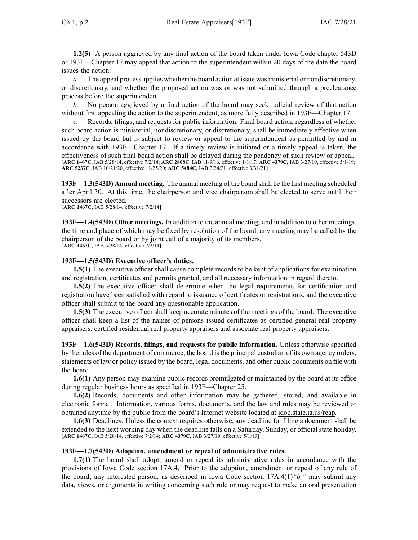**1.2(5)** A person aggrieved by any final action of the board taken under Iowa Code chapter [543D](https://www.legis.iowa.gov/docs/ico/chapter/2016/543D.pdf) or [193F—Chapter](https://www.legis.iowa.gov/docs/iac/chapter/193F.17.pdf) 17 may appeal that action to the superintendent within 20 days of the date the board issues the action.

*a.* The appeal process applies whether the board action at issue was ministerial or nondiscretionary, or discretionary, and whether the proposed action was or was not submitted through <sup>a</sup> preclearance process before the superintendent.

*b.* No person aggrieved by <sup>a</sup> final action of the board may seek judicial review of that action without first appealing the action to the superintendent, as more fully described in [193F—Chapter](https://www.legis.iowa.gov/docs/iac/chapter/193F.17.pdf) 17.

*c.* Records, filings, and requests for public information. Final board action, regardless of whether such board action is ministerial, nondiscretionary, or discretionary, shall be immediately effective when issued by the board but is subject to review or appeal to the superintendent as permitted by and in accordance with [193F—Chapter](https://www.legis.iowa.gov/docs/iac/chapter/193F.17.pdf) 17. If <sup>a</sup> timely review is initiated or <sup>a</sup> timely appeal is taken, the effectiveness of such final board action shall be delayed during the pendency of such review or appeal. [**ARC [1467C](https://www.legis.iowa.gov/docs/aco/arc/1467C.pdf)**, IAB 5/28/14, effective 7/2/14; **ARC [2808C](https://www.legis.iowa.gov/docs/aco/arc/2808C.pdf)**, IAB 11/9/16, effective 1/1/17; **ARC [4379C](https://www.legis.iowa.gov/docs/aco/arc/4379C.pdf)**, IAB 3/27/19, effective 5/1/19; **ARC [5237C](https://www.legis.iowa.gov/docs/aco/arc/5237C.pdf)**, IAB 10/21/20, effective 11/25/20; **ARC [5484C](https://www.legis.iowa.gov/docs/aco/arc/5484C.pdf)**, IAB 2/24/21, effective 3/31/21]

**193F—1.3(543D) Annual meeting.** The annual meeting of the board shall be the first meeting scheduled after April 30. At this time, the chairperson and vice chairperson shall be elected to serve until their successors are elected.

[**ARC [1467C](https://www.legis.iowa.gov/docs/aco/arc/1467C.pdf)**, IAB 5/28/14, effective 7/2/14]

**193F—1.4(543D) Other meetings.** In addition to the annual meeting, and in addition to other meetings, the time and place of which may be fixed by resolution of the board, any meeting may be called by the chairperson of the board or by joint call of <sup>a</sup> majority of its members. [**ARC [1467C](https://www.legis.iowa.gov/docs/aco/arc/1467C.pdf)**, IAB 5/28/14, effective 7/2/14]

## **193F—1.5(543D) Executive officer's duties.**

**1.5(1)** The executive officer shall cause complete records to be kept of applications for examination and registration, certificates and permits granted, and all necessary information in regard thereto.

**1.5(2)** The executive officer shall determine when the legal requirements for certification and registration have been satisfied with regard to issuance of certificates or registrations, and the executive officer shall submit to the board any questionable application.

**1.5(3)** The executive officer shall keep accurate minutes of the meetings of the board. The executive officer shall keep <sup>a</sup> list of the names of persons issued certificates as certified general real property appraisers, certified residential real property appraisers and associate real property appraisers.

**193F—1.6(543D) Records, filings, and requests for public information.** Unless otherwise specified by the rules of the department of commerce, the board is the principal custodian of its own agency orders, statements of law or policy issued by the board, legal documents, and other public documents on file with the board.

**1.6(1)** Any person may examine public records promulgated or maintained by the board at its office during regular business hours as specified in [193F—Chapter](https://www.legis.iowa.gov/docs/iac/chapter/193F.25.pdf) 25.

**1.6(2)** Records, documents and other information may be gathered, stored, and available in electronic format. Information, various forms, documents, and the law and rules may be reviewed or obtained anytime by the public from the board's Internet website located at [idob.state.ia.us/reap](https://idob.state.ia.us/reap).

**1.6(3)** Deadlines. Unless the context requires otherwise, any deadline for filing <sup>a</sup> document shall be extended to the next working day when the deadline falls on <sup>a</sup> Saturday, Sunday, or official state holiday. [**ARC [1467C](https://www.legis.iowa.gov/docs/aco/arc/1467C.pdf)**, IAB 5/28/14, effective 7/2/14; **ARC [4379C](https://www.legis.iowa.gov/docs/aco/arc/4379C.pdf)**, IAB 3/27/19, effective 5/1/19]

#### **193F—1.7(543D) Adoption, amendment or repeal of administrative rules.**

**1.7(1)** The board shall adopt, amend or repeal its administrative rules in accordance with the provisions of Iowa Code section [17A.4](https://www.legis.iowa.gov/docs/ico/section/17A.4.pdf). Prior to the adoption, amendment or repeal of any rule of the board, any interested person, as described in Iowa Code section [17A.4\(1\)](https://www.legis.iowa.gov/docs/ico/section/17A.4.pdf)*"b,"* may submit any data, views, or arguments in writing concerning such rule or may reques<sup>t</sup> to make an oral presentation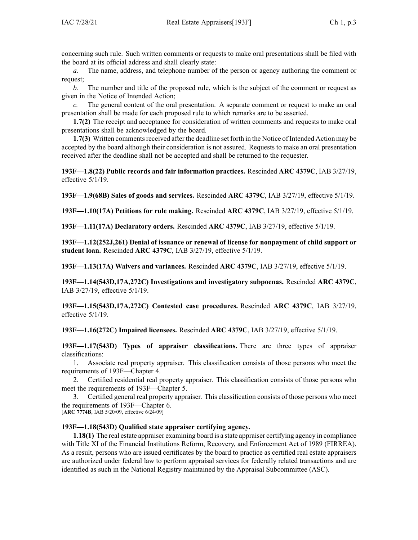concerning such rule. Such written comments or requests to make oral presentations shall be filed with the board at its official address and shall clearly state:

*a.* The name, address, and telephone number of the person or agency authoring the comment or request;

*b.* The number and title of the proposed rule, which is the subject of the comment or reques<sup>t</sup> as given in the Notice of Intended Action;

*c.* The general content of the oral presentation. A separate comment or reques<sup>t</sup> to make an oral presentation shall be made for each proposed rule to which remarks are to be asserted.

**1.7(2)** The receipt and acceptance for consideration of written comments and requests to make oral presentations shall be acknowledged by the board.

**1.7(3)** Written comments received after the deadline set forth in the Notice of Intended Action may be accepted by the board although their consideration is not assured. Requests to make an oral presentation received after the deadline shall not be accepted and shall be returned to the requester.

**193F—1.8(22) Public records and fair information practices.** Rescinded **ARC 4379C**, IAB [3/27/19](https://www.legis.iowa.gov/docs/aco/bulletin/03-27-2019.pdf), effective 5/1/19.

**193F—1.9(68B) Sales of goods and services.** Rescinded **ARC 4379C**, IAB [3/27/19](https://www.legis.iowa.gov/docs/aco/bulletin/03-27-2019.pdf), effective 5/1/19.

**193F—1.10(17A) Petitions for rule making.** Rescinded **ARC 4379C**, IAB [3/27/19](https://www.legis.iowa.gov/docs/aco/bulletin/03-27-2019.pdf), effective 5/1/19.

**193F—1.11(17A) Declaratory orders.** Rescinded **ARC 4379C**, IAB [3/27/19](https://www.legis.iowa.gov/docs/aco/bulletin/03-27-2019.pdf), effective 5/1/19.

**193F—1.12(252J,261) Denial of issuance or renewal of license for nonpayment of child support or student loan.** Rescinded **ARC 4379C**, IAB [3/27/19](https://www.legis.iowa.gov/docs/aco/bulletin/03-27-2019.pdf), effective 5/1/19.

**193F—1.13(17A) Waivers and variances.** Rescinded **ARC 4379C**, IAB [3/27/19](https://www.legis.iowa.gov/docs/aco/bulletin/03-27-2019.pdf), effective 5/1/19.

**193F—1.14(543D,17A,272C) Investigations and investigatory subpoenas.** Rescinded **ARC 4379C**, IAB [3/27/19](https://www.legis.iowa.gov/docs/aco/bulletin/03-27-2019.pdf), effective 5/1/19.

**193F—1.15(543D,17A,272C) Contested case procedures.** Rescinded **ARC 4379C**, IAB [3/27/19](https://www.legis.iowa.gov/docs/aco/bulletin/03-27-2019.pdf), effective 5/1/19.

**193F—1.16(272C) Impaired licensees.** Rescinded **ARC 4379C**, IAB [3/27/19](https://www.legis.iowa.gov/docs/aco/bulletin/03-27-2019.pdf), effective 5/1/19.

**193F—1.17(543D) Types of appraiser classifications.** There are three types of appraiser classifications:

1. Associate real property appraiser. This classification consists of those persons who meet the requirements of 193F—Chapter 4.

2. Certified residential real property appraiser. This classification consists of those persons who meet the requirements of 193F—Chapter 5.

3. Certified general real property appraiser. This classification consists of those persons who meet the requirements of 193F—Chapter 6.

[**ARC [7774B](https://www.legis.iowa.gov/docs/aco/arc/7774B.pdf)**, IAB 5/20/09, effective 6/24/09]

## **193F—1.18(543D) Qualified state appraiser certifying agency.**

**1.18(1)** The real estate appraiser examining board is <sup>a</sup> state appraiser certifying agency in compliance with Title XI of the Financial Institutions Reform, Recovery, and Enforcement Act of 1989 (FIRREA). As <sup>a</sup> result, persons who are issued certificates by the board to practice as certified real estate appraisers are authorized under federal law to perform appraisal services for federally related transactions and are identified as such in the National Registry maintained by the Appraisal Subcommittee (ASC).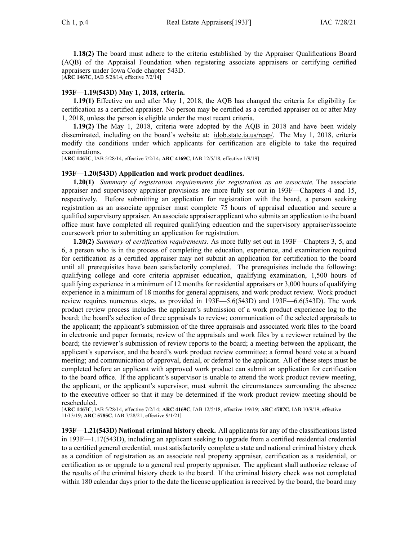**1.18(2)** The board must adhere to the criteria established by the Appraiser Qualifications Board (AQB) of the Appraisal Foundation when registering associate appraisers or certifying certified appraisers under Iowa Code chapter [543D](https://www.legis.iowa.gov/docs/ico/chapter/543D.pdf).

[**ARC [1467C](https://www.legis.iowa.gov/docs/aco/arc/1467C.pdf)**, IAB 5/28/14, effective 7/2/14]

# **193F—1.19(543D) May 1, 2018, criteria.**

**1.19(1)** Effective on and after May 1, 2018, the AQB has changed the criteria for eligibility for certification as <sup>a</sup> certified appraiser. No person may be certified as <sup>a</sup> certified appraiser on or after May 1, 2018, unless the person is eligible under the most recent criteria.

**1.19(2)** The May 1, 2018, criteria were adopted by the AQB in 2018 and have been widely disseminated, including on the board's website at: [idob.state.ia.us/reap/](http://idob.state.ia.us/reap/). The May 1, 2018, criteria modify the conditions under which applicants for certification are eligible to take the required examinations.

[**ARC [1467C](https://www.legis.iowa.gov/docs/aco/arc/1467C.pdf)**, IAB 5/28/14, effective 7/2/14; **ARC [4169C](https://www.legis.iowa.gov/docs/aco/arc/4169C.pdf)**, IAB 12/5/18, effective 1/9/19]

## **193F—1.20(543D) Application and work product deadlines.**

**1.20(1)** *Summary of registration requirements for registration as an associate.* The associate appraiser and supervisory appraiser provisions are more fully set out in [193F—Chapters](https://www.legis.iowa.gov/docs/iac/chapter/193F.4.pdf) 4 and [15](https://www.legis.iowa.gov/docs/iac/chapter/193F.15.pdf), respectively. Before submitting an application for registration with the board, <sup>a</sup> person seeking registration as an associate appraiser must complete 75 hours of appraisal education and secure <sup>a</sup> qualified supervisory appraiser. An associate appraiser applicant who submits an application to the board office must have completed all required qualifying education and the supervisory appraiser/associate coursework prior to submitting an application for registration.

**1.20(2)** *Summary of certification requirements.* As more fully set out in [193F—Chapters](https://www.legis.iowa.gov/docs/iac/chapter/193F.3.pdf) 3, [5](https://www.legis.iowa.gov/docs/iac/chapter/193F.5.pdf), and [6](https://www.legis.iowa.gov/docs/iac/chapter/193F.6.pdf), <sup>a</sup> person who is in the process of completing the education, experience, and examination required for certification as <sup>a</sup> certified appraiser may not submit an application for certification to the board until all prerequisites have been satisfactorily completed. The prerequisites include the following: qualifying college and core criteria appraiser education, qualifying examination, 1,500 hours of qualifying experience in <sup>a</sup> minimum of 12 months for residential appraisers or 3,000 hours of qualifying experience in <sup>a</sup> minimum of 18 months for general appraisers, and work product review. Work product review requires numerous steps, as provided in [193F—5.6](https://www.legis.iowa.gov/docs/iac/rule/193F.5.6.pdf)(543D) and [193F—6.6\(](https://www.legis.iowa.gov/docs/iac/rule/193F.6.6.pdf)543D). The work product review process includes the applicant's submission of <sup>a</sup> work product experience log to the board; the board's selection of three appraisals to review; communication of the selected appraisals to the applicant; the applicant's submission of the three appraisals and associated work files to the board in electronic and paper formats; review of the appraisals and work files by <sup>a</sup> reviewer retained by the board; the reviewer's submission of review reports to the board; <sup>a</sup> meeting between the applicant, the applicant's supervisor, and the board's work product review committee; <sup>a</sup> formal board vote at <sup>a</sup> board meeting; and communication of approval, denial, or deferral to the applicant. All of these steps must be completed before an applicant with approved work product can submit an application for certification to the board office. If the applicant's supervisor is unable to attend the work product review meeting, the applicant, or the applicant's supervisor, must submit the circumstances surrounding the absence to the executive officer so that it may be determined if the work product review meeting should be rescheduled.

[**ARC [1467C](https://www.legis.iowa.gov/docs/aco/arc/1467C.pdf)**, IAB 5/28/14, effective 7/2/14; **ARC [4169C](https://www.legis.iowa.gov/docs/aco/arc/4169C.pdf)**, IAB 12/5/18, effective 1/9/19; **ARC [4707C](https://www.legis.iowa.gov/docs/aco/arc/4707C.pdf)**, IAB 10/9/19, effective 11/13/19; **ARC [5785C](https://www.legis.iowa.gov/docs/aco/arc/5785C.pdf)**, IAB 7/28/21, effective 9/1/21]

**193F—1.21(543D) National criminal history check.** All applicants for any of the classifications listed in [193F—1.17](https://www.legis.iowa.gov/docs/iac/rule/193F.1.17.pdf)(543D), including an applicant seeking to upgrade from <sup>a</sup> certified residential credential to <sup>a</sup> certified general credential, must satisfactorily complete <sup>a</sup> state and national criminal history check as <sup>a</sup> condition of registration as an associate real property appraiser, certification as <sup>a</sup> residential, or certification as or upgrade to <sup>a</sup> general real property appraiser. The applicant shall authorize release of the results of the criminal history check to the board. If the criminal history check was not completed within 180 calendar days prior to the date the license application is received by the board, the board may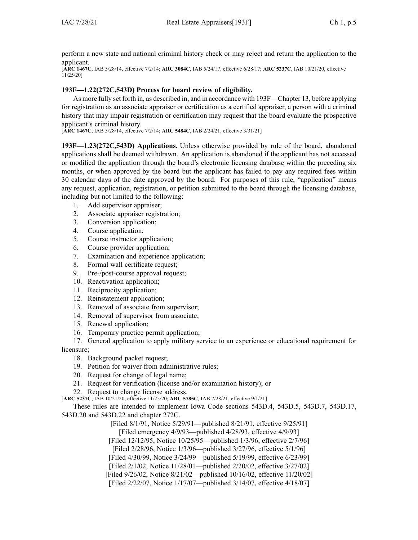perform <sup>a</sup> new state and national criminal history check or may reject and return the application to the applicant.

[**ARC [1467C](https://www.legis.iowa.gov/docs/aco/arc/1467C.pdf)**, IAB 5/28/14, effective 7/2/14; **ARC [3084C](https://www.legis.iowa.gov/docs/aco/arc/3084C.pdf)**, IAB 5/24/17, effective 6/28/17; **ARC [5237C](https://www.legis.iowa.gov/docs/aco/arc/5237C.pdf)**, IAB 10/21/20, effective 11/25/20]

## **193F—1.22(272C,543D) Process for board review of eligibility.**

As more fully set forth in, as described in, and in accordance with 193F[—Chapter](https://www.legis.iowa.gov/docs/iac/chapter/193F.13.pdf) 13, before applying for registration as an associate appraiser or certification as <sup>a</sup> certified appraiser, <sup>a</sup> person with <sup>a</sup> criminal history that may impair registration or certification may reques<sup>t</sup> that the board evaluate the prospective applicant's criminal history.

[**ARC [1467C](https://www.legis.iowa.gov/docs/aco/arc/1467C.pdf)**, IAB 5/28/14, effective 7/2/14; **ARC [5484C](https://www.legis.iowa.gov/docs/aco/arc/5484C.pdf)**, IAB 2/24/21, effective 3/31/21]

**193F—1.23(272C,543D) Applications.** Unless otherwise provided by rule of the board, abandoned applications shall be deemed withdrawn. An application is abandoned if the applicant has not accessed or modified the application through the board's electronic licensing database within the preceding six months, or when approved by the board but the applicant has failed to pay any required fees within 30 calendar days of the date approved by the board. For purposes of this rule, "application" means any request, application, registration, or petition submitted to the board through the licensing database, including but not limited to the following:

- 1. Add supervisor appraiser;
- 2. Associate appraiser registration;
- 3. Conversion application;
- 4. Course application;
- 5. Course instructor application;
- 6. Course provider application;
- 7. Examination and experience application;
- 8. Formal wall certificate request;
- 9. Pre-/post-course approval request;
- 10. Reactivation application;
- 11. Reciprocity application;
- 12. Reinstatement application;
- 13. Removal of associate from supervisor;
- 14. Removal of supervisor from associate;
- 15. Renewal application;
- 16. Temporary practice permit application;

17. General application to apply military service to an experience or educational requirement for licensure;

- 18. Background packet request;
- 19. Petition for waiver from administrative rules;
- 20. Request for change of legal name;
- 21. Request for verification (license and/or examination history); or
- 22. Request to change license address.

[**ARC [5237C](https://www.legis.iowa.gov/docs/aco/arc/5237C.pdf)**, IAB 10/21/20, effective 11/25/20; **ARC [5785C](https://www.legis.iowa.gov/docs/aco/arc/5785C.pdf)**, IAB 7/28/21, effective 9/1/21]

These rules are intended to implement Iowa Code sections [543D.4](https://www.legis.iowa.gov/docs/ico/section/543D.4.pdf), [543D.5](https://www.legis.iowa.gov/docs/ico/section/543D.5.pdf), [543D.7](https://www.legis.iowa.gov/docs/ico/section/543D.7.pdf), [543D.17](https://www.legis.iowa.gov/docs/ico/section/543D.17.pdf), [543D.20](https://www.legis.iowa.gov/docs/ico/section/543D.20.pdf) and [543D.22](https://www.legis.iowa.gov/docs/ico/section/543D.22.pdf) and chapter [272C](https://www.legis.iowa.gov/docs/ico/chapter/272C.pdf).

> [Filed 8/1/91, Notice 5/29/91—published 8/21/91, effective 9/25/91] [Filed emergency 4/9/93—published 4/28/93, effective 4/9/93]

[Filed 12/12/95, Notice 10/25/95—published 1/3/96, effective 2/7/96]

[Filed 2/28/96, Notice 1/3/96—published 3/27/96, effective 5/1/96]

[Filed 4/30/99, Notice 3/24/99—published 5/19/99, effective 6/23/99]

[Filed 2/1/02, Notice 11/28/01—published 2/20/02, effective 3/27/02]

[Filed 9/26/02, Notice 8/21/02—published 10/16/02, effective 11/20/02]

[Filed 2/22/07, Notice 1/17/07—published 3/14/07, effective 4/18/07]